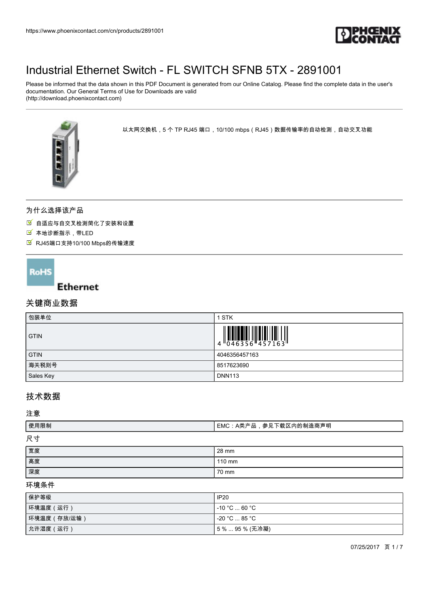

Please be informed that the data shown in this PDF Document is generated from our Online Catalog. Please find the complete data in the user's documentation. Our General Terms of Use for Downloads are valid (http://download.phoenixcontact.com)



以太网交换机 , 5 个 TP RJ45 端口,10/100 mbps(RJ45)数据传输率的自动检测,自动交叉功能

## 为什么选择该产品

自适应与自交叉检测简化了安装和设置

- 本地诊断指示,带LED
- RJ45端口支持10/100 Mbps的传输速度

## **RoHS**

### **Ethernet**

# 关键商业数据

| 包装单位        | 1 STK                    |
|-------------|--------------------------|
| <b>GTIN</b> | WHII)<br>4 046356 457163 |
| <b>GTIN</b> | 4046356457163            |
| 海关税则号       | 8517623690               |
| Sales Key   | <b>DNN113</b>            |

# 技术数据

注意

| 使用限制 | ┃EMC:A类产品,参见下载区内的制造商声明 |
|------|------------------------|
| 尺寸   |                        |
| 宽度   | 28 mm                  |
| 高度   | $110 \text{ mm}$       |
| 深度   | 70 mm                  |

#### 环境条件

| 保护等级         | <b>IP20</b>       |
|--------------|-------------------|
| 环境温度 (运行)    | l -10 °C  60 °C . |
| 环境温度 (存放/运输) | l -20 °C  85 °C . |
| 允许湿度 (运行)    | 5%…95%(无冷凝)       |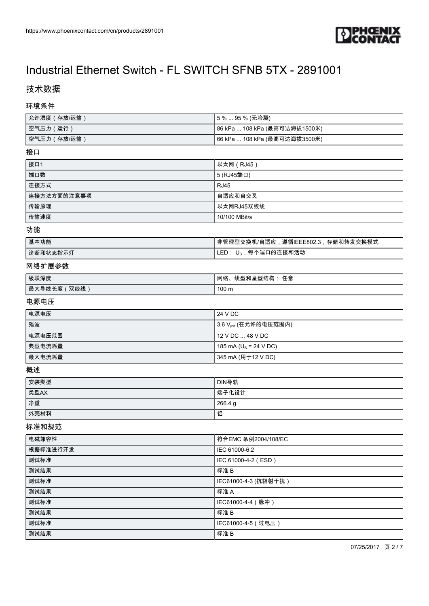

# 技术数据

#### 环境条件

| ┃允许湿度(存放/运输) | 【5%…95% (无冷凝)                 |
|--------------|-------------------------------|
| 空气压力 (运行)    | 86 kPa  108 kPa (最高可达海拔1500米) |
| ┃空气压力(存放/运输) | 66 kPa  108 kPa (最高可达海拔3500米) |

#### 接口

| 接口1         | 以太网(RJ45)     |
|-------------|---------------|
| 端口数         | 5 (RJ45端口)    |
| 连接方式        | <b>RJ45</b>   |
| 连接方法方面的注意事项 | 自适应和自交叉       |
| 传输原理        | 以太网RJ45双绞线    |
| 传输速度        | 10/100 MBit/s |

#### 功能

| 基本功能     | !非管理型交换机/自适应,遵循IEEE802.3,存储和转发交换模式 |
|----------|------------------------------------|
| 诊断和状态指示灯 | LED: U <sub>s</sub> ,每个端口的连接和活动    |

### 网络扩展参数

| 级联深度          | .线型和星型结构: 任意<br>网络、 |
|---------------|---------------------|
| ┃最大导线长度(双绞线 ) | 100 <sub>m</sub>    |

#### 电源电压

| 电源电压   | 24 V DC                           |
|--------|-----------------------------------|
| 残波     | ┃3.6 V <sub>PP</sub> (在允许的电压范围内)  |
| 电源电压范围 | 12 V DC  48 V DC                  |
| 典型电流耗量 | 185 mA (U <sub>S</sub> = 24 V DC) |
| 最大电流耗量 | 345 mA (用于12 V DC)                |

#### 概述

| 安装类型 | DIN导轨   |
|------|---------|
| 类型AX | 端子化设计   |
| 净重   | 266.4 g |
| 外壳材料 | 铝       |

#### 标准和规范

| 电磁兼容性    | 符合EMC 条例2004/108/EC  |
|----------|----------------------|
| 根据标准进行开发 | IEC 61000-6.2        |
| 测试标准     | IEC 61000-4-2 (ESD)  |
| 测试结果     | 标准B                  |
| 测试标准     | IEC61000-4-3 (抗辐射干扰) |
| 测试结果     | 标准A                  |
| 测试标准     | IEC61000-4-4 (脉冲)    |
| 测试结果     | 标准B                  |
| 测试标准     | IEC61000-4-5 (过电压)   |
| 测试结果     | 标准B                  |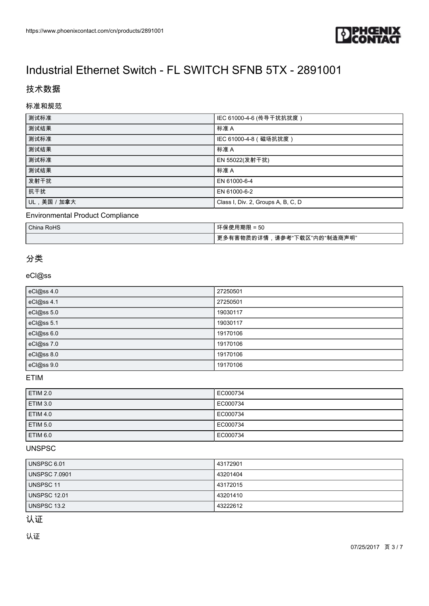

# 技术数据

### 标准和规范

| 测试标准         | IEC 61000-4-6 (传导干扰抗扰度)            |
|--------------|------------------------------------|
| 测试结果         | 标准 A                               |
| 测试标准         | IEC 61000-4-8 (磁场抗扰度)              |
| 测试结果         | 标准 A                               |
| 测试标准         | EN 55022(发射干扰)                     |
| 测试结果         | 标准 A                               |
| 发射干扰         | EN 61000-6-4                       |
| 抗干扰          | EN 61000-6-2                       |
| UL, 美国 / 加拿大 | Class I, Div. 2, Groups A, B, C, D |

### Environmental Product Compliance

| China RoHS | 环保使用期限 = 50                     |
|------------|---------------------------------|
|            | 更多有害物质的详情<br>,请参考"下载区"内的"制造商声明" |

## 分类

### eCl@ss

| eCl@ss 4.0 | 27250501 |
|------------|----------|
| eCl@ss 4.1 | 27250501 |
| eCl@ss 5.0 | 19030117 |
| eCl@ss 5.1 | 19030117 |
| eCl@ss 6.0 | 19170106 |
| eCl@ss 7.0 | 19170106 |
| eCl@ss 8.0 | 19170106 |
| eCl@ss 9.0 | 19170106 |

### ETIM

| <b>ETIM 2.0</b> | EC000734 |
|-----------------|----------|
| <b>ETIM 3.0</b> | EC000734 |
| <b>ETIM 4.0</b> | EC000734 |
| <b>ETIM 5.0</b> | EC000734 |
| <b>ETIM 6.0</b> | EC000734 |

### UNSPSC

| UNSPSC 6.01          | 43172901 |
|----------------------|----------|
| <b>UNSPSC 7.0901</b> | 43201404 |
| UNSPSC 11            | 43172015 |
| UNSPSC 12.01         | 43201410 |
| l UNSPSC 13.2        | 43222612 |

# 认证

认证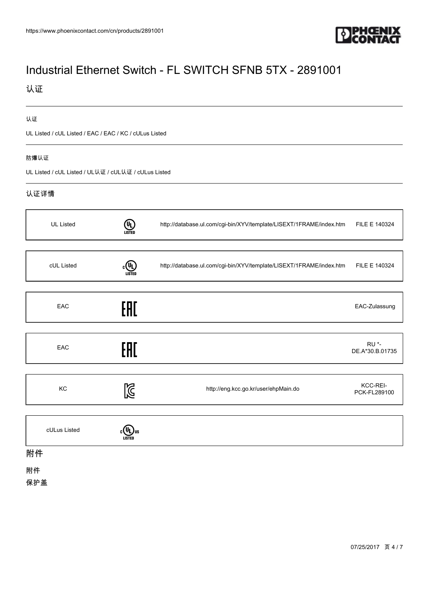

# 认证

#### 认证

UL Listed / cUL Listed / EAC / EAC / KC / cULus Listed

#### 防爆认证

UL Listed / cUL Listed / UL认证 / cUL认证 / cULus Listed

### 认证详情

| <b>UL Listed</b> | $(\mathsf{u_L})$<br>LISTED | http://database.ul.com/cgi-bin/XYV/template/LISEXT/1FRAME/index.htm | FILE E 140324                   |
|------------------|----------------------------|---------------------------------------------------------------------|---------------------------------|
|                  |                            |                                                                     |                                 |
| cUL Listed       | <u>(U)</u><br>LISTED       | http://database.ul.com/cgi-bin/XYV/template/LISEXT/1FRAME/index.htm | FILE E 140324                   |
|                  |                            |                                                                     |                                 |
| EAC              | EAC                        |                                                                     | EAC-Zulassung                   |
|                  |                            |                                                                     |                                 |
| EAC              | FAT                        |                                                                     | <b>RU *-</b><br>DE.A*30.B.01735 |
|                  |                            |                                                                     |                                 |
| KC               | 図                          | http://eng.kcc.go.kr/user/ehpMain.do                                | KCC-REI-<br>PCK-FL289100        |
|                  |                            |                                                                     |                                 |
| cULus Listed     |                            |                                                                     |                                 |

### 附件

附件

保护盖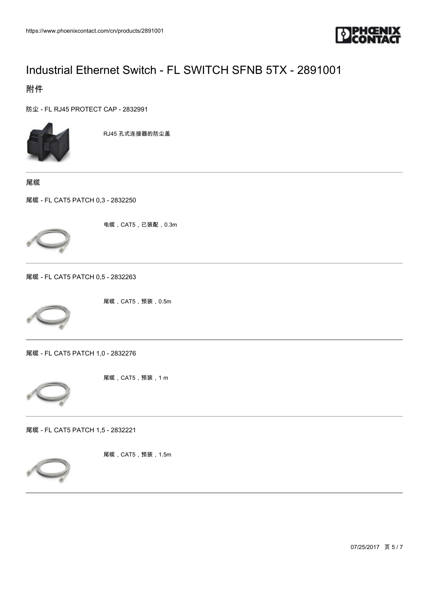

附件

[防尘 - FL RJ45 PROTECT CAP - 2832991](https://www.phoenixcontact.com/cn/products/2832991)



RJ45 孔式连接器的防尘盖

尾缆

[尾缆 - FL CAT5 PATCH 0,3 - 2832250](https://www.phoenixcontact.com/cn/products/2832250)



电缆,CAT5,已装配,0.3m

[尾缆 - FL CAT5 PATCH 0,5 - 2832263](https://www.phoenixcontact.com/cn/products/2832263)



尾缆,CAT5,预装,0.5m

[尾缆 - FL CAT5 PATCH 1,0 - 2832276](https://www.phoenixcontact.com/cn/products/2832276)



尾缆,CAT5,预装,1 m

[尾缆 - FL CAT5 PATCH 1,5 - 2832221](https://www.phoenixcontact.com/cn/products/2832221)



尾缆,CAT5,预装,1.5m

07/25/2017 页 5 / 7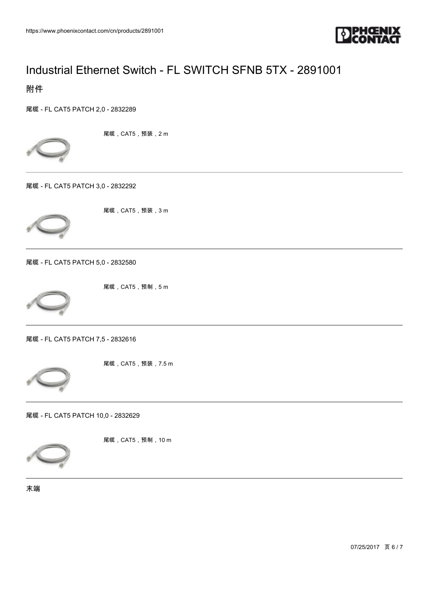

附件

[尾缆 - FL CAT5 PATCH 2,0 - 2832289](https://www.phoenixcontact.com/cn/products/2832289)



尾缆,CAT5,预装,2 m





尾缆,CAT5,预装,3 m

[尾缆 - FL CAT5 PATCH 5,0 - 2832580](https://www.phoenixcontact.com/cn/products/2832580)



尾缆,CAT5,预制,5 m

[尾缆 - FL CAT5 PATCH 7,5 - 2832616](https://www.phoenixcontact.com/cn/products/2832616)



尾缆,CAT5,预装,7.5 m

[尾缆 - FL CAT5 PATCH 10,0 - 2832629](https://www.phoenixcontact.com/cn/products/2832629)



尾缆,CAT5,预制,10 m

末端

07/25/2017 页 6 / 7